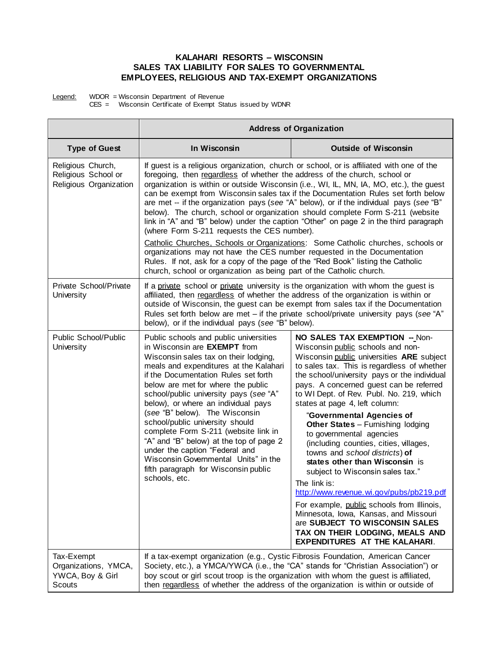## **KALAHARI RESORTS – WISCONSIN SALES TAX LIABILITY FOR SALES TO GOVERNMENTAL EMPLOYEES, RELIGIOUS AND TAX-EXEMPT ORGANIZATIONS**

Legend: WDOR = Wisconsin Department of Revenue

CES = Wisconsin Certificate of Exempt Status issued by WDNR

|                                                                    | <b>Address of Organization</b>                                                                                                                                                                                                                                                                                                                                                                                                                                                                                                                                                                                                                                                                                                                                                                                                             |                                                                                                                                                                                                                                                                                                                                                                                                                                                                                                                                                                                                                                                                                                                                                                                                                                                          |  |
|--------------------------------------------------------------------|--------------------------------------------------------------------------------------------------------------------------------------------------------------------------------------------------------------------------------------------------------------------------------------------------------------------------------------------------------------------------------------------------------------------------------------------------------------------------------------------------------------------------------------------------------------------------------------------------------------------------------------------------------------------------------------------------------------------------------------------------------------------------------------------------------------------------------------------|----------------------------------------------------------------------------------------------------------------------------------------------------------------------------------------------------------------------------------------------------------------------------------------------------------------------------------------------------------------------------------------------------------------------------------------------------------------------------------------------------------------------------------------------------------------------------------------------------------------------------------------------------------------------------------------------------------------------------------------------------------------------------------------------------------------------------------------------------------|--|
| <b>Type of Guest</b>                                               | In Wisconsin                                                                                                                                                                                                                                                                                                                                                                                                                                                                                                                                                                                                                                                                                                                                                                                                                               | <b>Outside of Wisconsin</b>                                                                                                                                                                                                                                                                                                                                                                                                                                                                                                                                                                                                                                                                                                                                                                                                                              |  |
| Religious Church,<br>Religious School or<br>Religious Organization | If guest is a religious organization, church or school, or is affiliated with one of the<br>foregoing, then regardless of whether the address of the church, school or<br>organization is within or outside Wisconsin (i.e., WI, IL, MN, IA, MO, etc.), the guest<br>can be exempt from Wisconsin sales tax if the Documentation Rules set forth below<br>are met -- if the organization pays (see "A" below), or if the individual pays (see "B"<br>below). The church, school or organization should complete Form S-211 (website<br>link in "A" and "B" below) under the caption "Other" on page 2 in the third paragraph<br>(where Form S-211 requests the CES number).<br>Catholic Churches, Schools or Organizations: Some Catholic churches, schools or<br>organizations may not have the CES number requested in the Documentation |                                                                                                                                                                                                                                                                                                                                                                                                                                                                                                                                                                                                                                                                                                                                                                                                                                                          |  |
|                                                                    | Rules. If not, ask for a copy of the page of the "Red Book" listing the Catholic<br>church, school or organization as being part of the Catholic church.                                                                                                                                                                                                                                                                                                                                                                                                                                                                                                                                                                                                                                                                                   |                                                                                                                                                                                                                                                                                                                                                                                                                                                                                                                                                                                                                                                                                                                                                                                                                                                          |  |
| Private School/Private<br>University                               | If a private school or private university is the organization with whom the guest is<br>affiliated, then regardless of whether the address of the organization is within or<br>outside of Wisconsin, the guest can be exempt from sales tax if the Documentation<br>Rules set forth below are met - if the private school/private university pays (see "A"<br>below), or if the individual pays (see "B" below).                                                                                                                                                                                                                                                                                                                                                                                                                           |                                                                                                                                                                                                                                                                                                                                                                                                                                                                                                                                                                                                                                                                                                                                                                                                                                                          |  |
| Public School/Public<br>University                                 | Public schools and public universities<br>in Wisconsin are <b>EXEMPT</b> from<br>Wisconsin sales tax on their lodging,<br>meals and expenditures at the Kalahari<br>if the Documentation Rules set forth<br>below are met for where the public<br>school/public university pays (see "A"<br>below), or where an individual pays<br>(see "B" below). The Wisconsin<br>school/public university should<br>complete Form S-211 (website link in<br>"A" and "B" below) at the top of page 2<br>under the caption "Federal and<br>Wisconsin Governmental Units" in the<br>fifth paragraph for Wisconsin public<br>schools, etc.                                                                                                                                                                                                                 | NO SALES TAX EXEMPTION -- Non-<br>Wisconsin public schools and non-<br>Wisconsin public universities ARE subject<br>to sales tax. This is regardless of whether<br>the school/university pays or the individual<br>pays. A concerned guest can be referred<br>to WI Dept. of Rev. Publ. No. 219, which<br>states at page 4, left column:<br>"Governmental Agencies of<br>Other States - Furnishing lodging<br>to governmental agencies<br>(including counties, cities, villages,<br>towns and school districts) of<br>states other than Wisconsin is<br>subject to Wisconsin sales tax."<br>The link is:<br>http://www.revenue.wi.gov/pubs/pb219.pdf<br>For example, public schools from Illinois,<br>Minnesota, Iowa, Kansas, and Missouri<br>are SUBJECT TO WISCONSIN SALES<br>TAX ON THEIR LODGING, MEALS AND<br><b>EXPENDITURES AT THE KALAHARI.</b> |  |
| Tax-Exempt<br>Organizations, YMCA,<br>YWCA, Boy & Girl<br>Scouts   | If a tax-exempt organization (e.g., Cystic Fibrosis Foundation, American Cancer<br>Society, etc.), a YMCA/YWCA (i.e., the "CA" stands for "Christian Association") or<br>boy scout or girl scout troop is the organization with whom the guest is affiliated,<br>then regardless of whether the address of the organization is within or outside of                                                                                                                                                                                                                                                                                                                                                                                                                                                                                        |                                                                                                                                                                                                                                                                                                                                                                                                                                                                                                                                                                                                                                                                                                                                                                                                                                                          |  |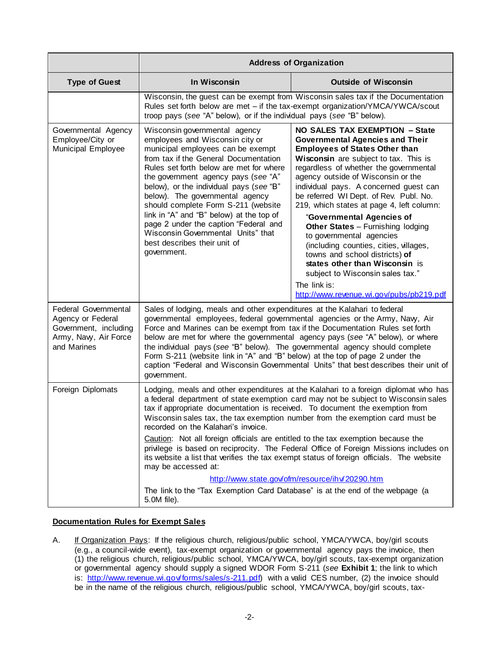|                                                                                                            | <b>Address of Organization</b>                                                                                                                                                                                                                                                                                                                                                                                                                                                                                                                                                                                                                                                    |                                                                                                                                                                                                                                                                                                                                                                                                                                                                                                                                                                                                                                                                                                       |  |
|------------------------------------------------------------------------------------------------------------|-----------------------------------------------------------------------------------------------------------------------------------------------------------------------------------------------------------------------------------------------------------------------------------------------------------------------------------------------------------------------------------------------------------------------------------------------------------------------------------------------------------------------------------------------------------------------------------------------------------------------------------------------------------------------------------|-------------------------------------------------------------------------------------------------------------------------------------------------------------------------------------------------------------------------------------------------------------------------------------------------------------------------------------------------------------------------------------------------------------------------------------------------------------------------------------------------------------------------------------------------------------------------------------------------------------------------------------------------------------------------------------------------------|--|
| <b>Type of Guest</b>                                                                                       | In Wisconsin                                                                                                                                                                                                                                                                                                                                                                                                                                                                                                                                                                                                                                                                      | <b>Outside of Wisconsin</b>                                                                                                                                                                                                                                                                                                                                                                                                                                                                                                                                                                                                                                                                           |  |
|                                                                                                            | Wisconsin, the guest can be exempt from Wisconsin sales tax if the Documentation<br>Rules set forth below are met - if the tax-exempt organization/YMCA/YWCA/scout<br>troop pays (see "A" below), or if the individual pays (see "B" below).                                                                                                                                                                                                                                                                                                                                                                                                                                      |                                                                                                                                                                                                                                                                                                                                                                                                                                                                                                                                                                                                                                                                                                       |  |
| Governmental Agency<br>Employee/City or<br>Municipal Employee                                              | Wisconsin governmental agency<br>employees and Wisconsin city or<br>municipal employees can be exempt<br>from tax if the General Documentation<br>Rules set forth below are met for where<br>the government agency pays (see "A"<br>below), or the individual pays (see "B"<br>below). The governmental agency<br>should complete Form S-211 (website<br>link in "A" and "B" below) at the top of<br>page 2 under the caption "Federal and<br>Wisconsin Governmental Units" that<br>best describes their unit of<br>government.                                                                                                                                                   | <b>NO SALES TAX EXEMPTION - State</b><br><b>Governmental Agencies and Their</b><br><b>Employees of States Other than</b><br>Wisconsin are subject to tax. This is<br>regardless of whether the governmental<br>agency outside of Wisconsin or the<br>individual pays. A concerned guest can<br>be referred WI Dept. of Rev. Publ. No.<br>219, which states at page 4, left column:<br>"Governmental Agencies of<br><b>Other States - Furnishing lodging</b><br>to governmental agencies<br>(including counties, cities, villages,<br>towns and school districts) of<br>states other than Wisconsin is<br>subject to Wisconsin sales tax."<br>The link is:<br>http://www.revenue.wi.gov/pubs/pb219.pdf |  |
| Federal Governmental<br>Agency or Federal<br>Government, including<br>Army, Navy, Air Force<br>and Marines | Sales of lodging, meals and other expenditures at the Kalahari to federal<br>governmental employees, federal governmental agencies or the Army, Navy, Air<br>Force and Marines can be exempt from tax if the Documentation Rules set forth<br>below are met for where the governmental agency pays (see "A" below), or where<br>the individual pays (see "B" below). The governmental agency should complete<br>Form S-211 (website link in "A" and "B" below) at the top of page 2 under the<br>caption "Federal and Wisconsin Governmental Units" that best describes their unit of<br>government.                                                                              |                                                                                                                                                                                                                                                                                                                                                                                                                                                                                                                                                                                                                                                                                                       |  |
| Foreign Diplomats                                                                                          | Lodging, meals and other expenditures at the Kalahari to a foreign diplomat who has<br>a federal department of state exemption card may not be subject to Wisconsin sales<br>tax if appropriate documentation is received. To document the exemption from<br>Wisconsin sales tax, the tax exemption number from the exemption card must be<br>recorded on the Kalahari's invoice.<br>Caution: Not all foreign officials are entitled to the tax exemption because the<br>privilege is based on reciprocity. The Federal Office of Foreign Missions includes on<br>its website a list that verifies the tax exempt status of foreign officials. The website<br>may be accessed at: |                                                                                                                                                                                                                                                                                                                                                                                                                                                                                                                                                                                                                                                                                                       |  |
|                                                                                                            | http://www.state.gov/ofm/resource/ihv/20290.htm<br>The link to the "Tax Exemption Card Database" is at the end of the webpage (a<br>5.0M file).                                                                                                                                                                                                                                                                                                                                                                                                                                                                                                                                   |                                                                                                                                                                                                                                                                                                                                                                                                                                                                                                                                                                                                                                                                                                       |  |

## **Documentation Rules for Exempt Sales**

A. If Organization Pays: If the religious church, religious/public school, YMCA/YWCA, boy/girl scouts (e.g., a council-wide event), tax-exempt organization or governmental agency pays the invoice, then (1) the religious church, religious/public school, YMCA/YWCA, boy/girl scouts, tax-exempt organization or governmental agency should supply a signed WDOR Form S-211 (*see* **Exhibit 1**; the link to which is: [http://www.revenue.wi.gov/forms/sales/s-211.pdf\)](http://www.revenue.wi.gov/forms/sales/s-211.pdf) with a valid CES number, (2) the invoice should be in the name of the religious church, religious/public school, YMCA/YWCA, boy/girl scouts, tax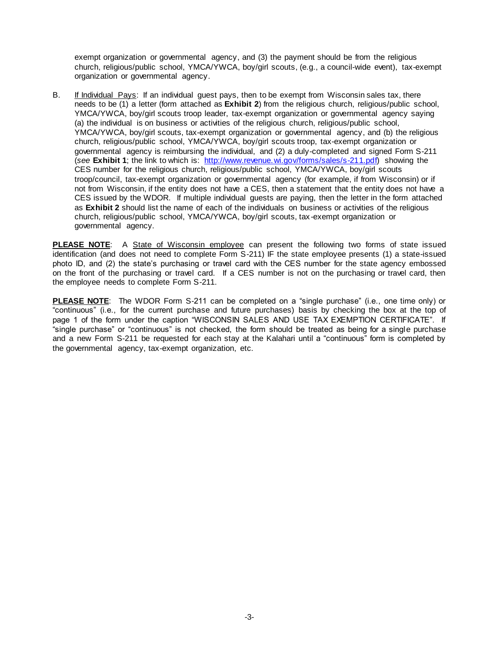exempt organization or governmental agency, and (3) the payment should be from the religious church, religious/public school, YMCA/YWCA, boy/girl scouts, (e.g., a council-wide event), tax-exempt organization or governmental agency.

B. If Individual Pays: If an individual guest pays, then to be exempt from Wisconsin sales tax, there needs to be (1) a letter (form attached as **Exhibit 2**) from the religious church, religious/public school, YMCA/YWCA, boy/girl scouts troop leader, tax-exempt organization or governmental agency saying (a) the individual is on business or activities of the religious church, religious/public school, YMCA/YWCA, boy/girl scouts, tax-exempt organization or governmental agency, and (b) the religious church, religious/public school, YMCA/YWCA, boy/girl scouts troop, tax-exempt organization or governmental agency is reimbursing the individual, and (2) a duly-completed and signed Form S-211 (*see* **Exhibit 1**; the link to which is: [http://www.revenue.wi.gov/forms/sales/s-211.pdf\)](http://www.revenue.wi.gov/forms/sales/s-211.pdf) showing the CES number for the religious church, religious/public school, YMCA/YWCA, boy/girl scouts troop/council, tax-exempt organization or governmental agency (for example, if from Wisconsin) or if not from Wisconsin, if the entity does not have a CES, then a statement that the entity does not have a CES issued by the WDOR. If multiple individual guests are paying, then the letter in the form attached as **Exhibit 2** should list the name of each of the individuals on business or activities of the religious church, religious/public school, YMCA/YWCA, boy/girl scouts, tax-exempt organization or governmental agency.

**PLEASE NOTE**: A State of Wisconsin employee can present the following two forms of state issued identification (and does not need to complete Form S-211) IF the state employee presents (1) a state-issued photo ID, and (2) the state's purchasing or travel card with the CES number for the state agency embossed on the front of the purchasing or travel card. If a CES number is not on the purchasing or travel card, then the employee needs to complete Form S-211.

**PLEASE NOTE**: The WDOR Form S-211 can be completed on a "single purchase" (i.e., one time only) or "continuous" (i.e., for the current purchase and future purchases) basis by checking the box at the top of page 1 of the form under the caption "WISCONSIN SALES AND USE TAX EXEMPTION CERTIFICATE". If "single purchase" or "continuous" is not checked, the form should be treated as being for a single purchase and a new Form S-211 be requested for each stay at the Kalahari until a "continuous" form is completed by the governmental agency, tax-exempt organization, etc.